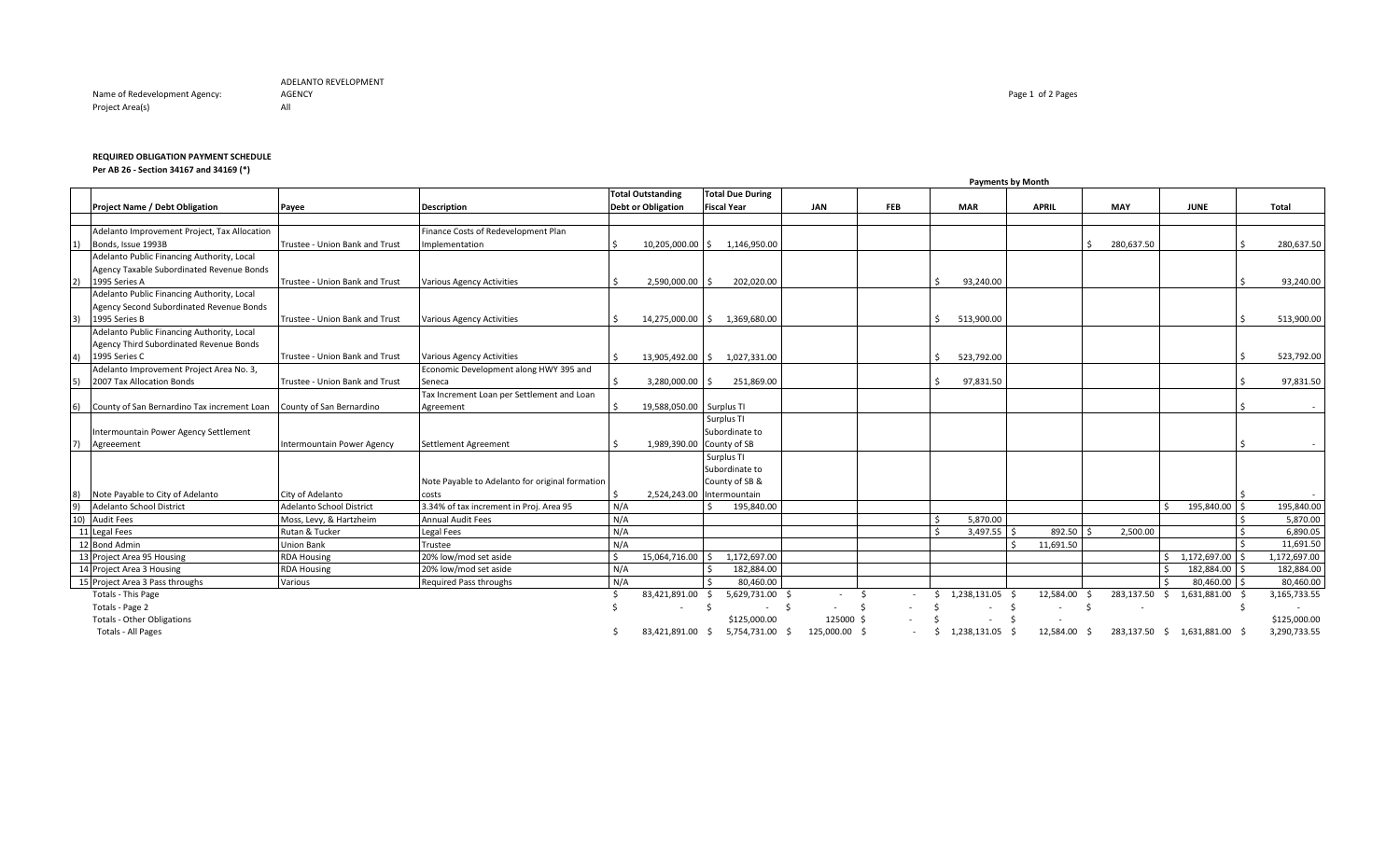Name of Redevelopment Agency: Project Area(s) and the contract of the All

## **REQUIRED OBLIGATION PAYMENT SCHEDULE**

**Per AB 26 - Section 34167 and 34169 (\*)**

|              |                                              | <b>Payments by Month</b>        |                                                 |     |                                                       |                                               |              |            |            |            |  |            |                 |                          |      |            |    |                            |  |              |
|--------------|----------------------------------------------|---------------------------------|-------------------------------------------------|-----|-------------------------------------------------------|-----------------------------------------------|--------------|------------|------------|------------|--|------------|-----------------|--------------------------|------|------------|----|----------------------------|--|--------------|
|              | <b>Project Name / Debt Obligation</b>        | Payee                           | <b>Description</b>                              |     | <b>Total Outstanding</b><br><b>Debt or Obligation</b> | <b>Total Due During</b><br><b>Fiscal Year</b> |              | <b>JAN</b> |            | <b>FEB</b> |  | <b>MAR</b> |                 | <b>APRIL</b>             |      | <b>MAY</b> |    | <b>JUNE</b>                |  | Total        |
|              |                                              |                                 |                                                 |     |                                                       |                                               |              |            |            |            |  |            |                 |                          |      |            |    |                            |  |              |
|              | Adelanto Improvement Project, Tax Allocation |                                 | Finance Costs of Redevelopment Plan             |     |                                                       |                                               |              |            |            |            |  |            |                 |                          |      |            |    |                            |  |              |
| $ 1\rangle$  | Bonds, Issue 1993B                           | Trustee - Union Bank and Trust  | Implementation                                  |     | 10.205.000.00 \$ 1.146.950.00                         |                                               |              |            |            |            |  |            |                 |                          |      | 280,637.50 |    |                            |  | 280.637.50   |
|              | Adelanto Public Financing Authority, Local   |                                 |                                                 |     |                                                       |                                               |              |            |            |            |  |            |                 |                          |      |            |    |                            |  |              |
|              | Agency Taxable Subordinated Revenue Bonds    |                                 |                                                 |     |                                                       |                                               |              |            |            |            |  |            |                 |                          |      |            |    |                            |  |              |
| 2)           | 1995 Series A                                | Trustee - Union Bank and Trust  | <b>Various Agency Activities</b>                |     | $2.590.000.00$ \$                                     |                                               | 202.020.00   |            |            |            |  |            | 93,240.00       |                          |      |            |    |                            |  | 93.240.00    |
|              | Adelanto Public Financing Authority, Local   |                                 |                                                 |     |                                                       |                                               |              |            |            |            |  |            |                 |                          |      |            |    |                            |  |              |
|              | Agency Second Subordinated Revenue Bonds     |                                 |                                                 |     |                                                       |                                               |              |            |            |            |  |            |                 |                          |      |            |    |                            |  |              |
| 3)           | 1995 Series B                                | Trustee - Union Bank and Trust  | <b>Various Agency Activities</b>                |     | 14,275,000.00 \$ 1,369,680.00                         |                                               |              |            |            |            |  |            | 513,900.00      |                          |      |            |    |                            |  | 513,900.00   |
|              | Adelanto Public Financing Authority, Local   |                                 |                                                 |     |                                                       |                                               |              |            |            |            |  |            |                 |                          |      |            |    |                            |  |              |
|              | Agency Third Subordinated Revenue Bonds      |                                 |                                                 |     |                                                       |                                               |              |            |            |            |  |            |                 |                          |      |            |    |                            |  |              |
| 4)           | 1995 Series C                                | Trustee - Union Bank and Trust  | Various Agency Activities                       |     | 13,905,492.00 \$ 1,027,331.00                         |                                               |              |            |            |            |  |            | 523,792.00      |                          |      |            |    |                            |  | 523,792.00   |
|              | Adelanto Improvement Project Area No. 3,     |                                 | Economic Development along HWY 395 and          |     |                                                       |                                               |              |            |            |            |  |            |                 |                          |      |            |    |                            |  |              |
| 5)           | 2007 Tax Allocation Bonds                    | Trustee - Union Bank and Trust  | Seneca                                          |     | $3.280.000.00$ S                                      |                                               | 251,869.00   |            |            |            |  |            | 97,831.50       |                          |      |            |    |                            |  | 97,831.50    |
|              |                                              |                                 | Tax Increment Loan per Settlement and Loan      |     |                                                       |                                               |              |            |            |            |  |            |                 |                          |      |            |    |                            |  |              |
| <sup>6</sup> | County of San Bernardino Tax increment Loan  | County of San Bernardino        | Agreement                                       |     | 19,588,050.00 Surplus TI                              |                                               |              |            |            |            |  |            |                 |                          |      |            |    |                            |  |              |
|              |                                              |                                 |                                                 |     |                                                       | Surplus TI                                    |              |            |            |            |  |            |                 |                          |      |            |    |                            |  |              |
|              | Intermountain Power Agency Settlement        |                                 |                                                 |     |                                                       | Subordinate to                                |              |            |            |            |  |            |                 |                          |      |            |    |                            |  |              |
| 7)           | Agreeement                                   | Intermountain Power Agency      | Settlement Agreement                            |     | 1,989,390.00 County of SB                             |                                               |              |            |            |            |  |            |                 |                          |      |            |    |                            |  |              |
|              |                                              |                                 |                                                 |     |                                                       | Surplus TI                                    |              |            |            |            |  |            |                 |                          |      |            |    |                            |  |              |
|              |                                              |                                 |                                                 |     |                                                       | Subordinate to                                |              |            |            |            |  |            |                 |                          |      |            |    |                            |  |              |
|              |                                              |                                 | Note Payable to Adelanto for original formation |     |                                                       | County of SB &                                |              |            |            |            |  |            |                 |                          |      |            |    |                            |  |              |
| 8)           | Note Payable to City of Adelanto             | City of Adelanto                | costs                                           |     | 2,524,243.00 Intermountain                            |                                               |              |            |            |            |  |            |                 |                          |      |            |    |                            |  |              |
| 9)           | Adelanto School District                     | <b>Adelanto School District</b> | 3.34% of tax increment in Proj. Area 95         | N/A |                                                       |                                               | 195,840.00   |            |            |            |  |            |                 |                          |      |            |    | 195,840.00                 |  | 195,840.00   |
|              | 10) Audit Fees                               | Moss, Levy, & Hartzheim         | <b>Annual Audit Fees</b>                        | N/A |                                                       |                                               |              |            |            |            |  |            | 5,870.00        |                          |      |            |    |                            |  | 5,870.00     |
|              | 11 Legal Fees                                | Rutan & Tucker                  | <b>Legal Fees</b>                               | N/A |                                                       |                                               |              |            |            |            |  |            | $3,497.55$ \$   | 892.50 \$                |      | 2,500.00   |    |                            |  | 6,890.05     |
|              | 12 Bond Admin                                | Union Bank                      | Trustee                                         | N/A |                                                       |                                               |              |            |            |            |  |            |                 | 11,691.50                |      |            |    |                            |  | 11,691.50    |
|              | 13 Project Area 95 Housing                   | <b>RDA Housing</b>              | 20% low/mod set aside                           |     | 15,064,716.00 \$                                      |                                               | 1,172,697.00 |            |            |            |  |            |                 |                          |      |            |    | \$1,172,697.00             |  | 1,172,697.00 |
|              | 14 Project Area 3 Housing                    | <b>RDA Housing</b>              | 20% low/mod set aside                           | N/A |                                                       |                                               | 182,884.00   |            |            |            |  |            |                 |                          |      |            |    | 182,884.00 \$              |  | 182,884.00   |
|              | 15 Project Area 3 Pass throughs              | Various                         | Required Pass throughs                          | N/A |                                                       |                                               | 80,460.00    |            |            |            |  |            |                 |                          |      |            |    | 80,460.00 \$               |  | 80,460.00    |
|              | Totals - This Page                           |                                 |                                                 |     | 83,421,891.00                                         | S.                                            | 5,629,731.00 |            |            |            |  | Ŝ.         | 1,238,131.05    | 12,584.00                | - \$ | 283,137.50 | S. | 1,631,881.00               |  | 3,165,733.55 |
|              | Totals - Page 2                              |                                 |                                                 |     |                                                       |                                               | $\sim$       |            |            |            |  |            |                 | $\sim$                   | - \$ |            |    |                            |  | $\sim$       |
|              | <b>Totals - Other Obligations</b>            |                                 |                                                 |     |                                                       |                                               | \$125,000.00 |            | 125000     |            |  |            |                 | $\overline{\phantom{a}}$ |      |            |    |                            |  | \$125,000.00 |
|              | <b>Totals - All Pages</b>                    |                                 |                                                 |     | 83,421,891.00 \$ 5,754,731.00                         |                                               |              | - Ś        | 125.000.00 |            |  | S.         | 1,238,131.05 \$ | 12,584.00 \$             |      |            |    | 283,137.50 \$ 1,631,881.00 |  | 3,290,733.55 |